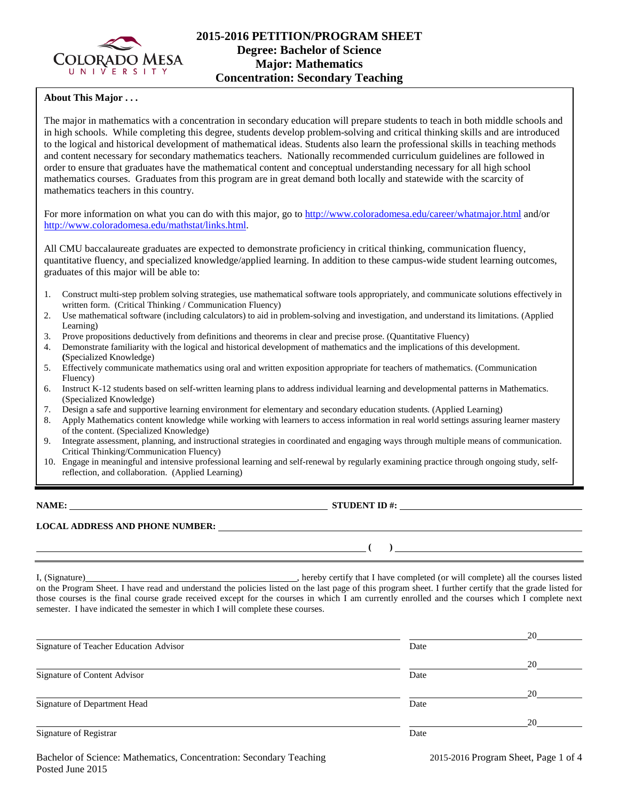

# **2015-2016 PETITION/PROGRAM SHEET Degree: Bachelor of Science Major: Mathematics Concentration: Secondary Teaching**

## **About This Major . . .**

The major in mathematics with a concentration in secondary education will prepare students to teach in both middle schools and in high schools. While completing this degree, students develop problem-solving and critical thinking skills and are introduced to the logical and historical development of mathematical ideas. Students also learn the professional skills in teaching methods and content necessary for secondary mathematics teachers. Nationally recommended curriculum guidelines are followed in order to ensure that graduates have the mathematical content and conceptual understanding necessary for all high school mathematics courses. Graduates from this program are in great demand both locally and statewide with the scarcity of mathematics teachers in this country.

For more information on what you can do with this major, go to<http://www.coloradomesa.edu/career/whatmajor.html> and/or [http://www.coloradomesa.edu/mathstat/links.html.](http://www.coloradomesa.edu/mathstat/links.html)

All CMU baccalaureate graduates are expected to demonstrate proficiency in critical thinking, communication fluency, quantitative fluency, and specialized knowledge/applied learning. In addition to these campus-wide student learning outcomes, graduates of this major will be able to:

- 1. Construct multi-step problem solving strategies, use mathematical software tools appropriately, and communicate solutions effectively in written form. (Critical Thinking / Communication Fluency)
- 2. Use mathematical software (including calculators) to aid in problem-solving and investigation, and understand its limitations. (Applied Learning)
- 3. Prove propositions deductively from definitions and theorems in clear and precise prose. (Quantitative Fluency)
- 4. Demonstrate familiarity with the logical and historical development of mathematics and the implications of this development. **(**Specialized Knowledge)
- 5. Effectively communicate mathematics using oral and written exposition appropriate for teachers of mathematics. (Communication Fluency)
- 6. Instruct K-12 students based on self-written learning plans to address individual learning and developmental patterns in Mathematics. (Specialized Knowledge)
- 7. Design a safe and supportive learning environment for elementary and secondary education students. (Applied Learning)
- 8. Apply Mathematics content knowledge while working with learners to access information in real world settings assuring learner mastery of the content. (Specialized Knowledge)
- 9. Integrate assessment, planning, and instructional strategies in coordinated and engaging ways through multiple means of communication. Critical Thinking/Communication Fluency)
- 10. Engage in meaningful and intensive professional learning and self-renewal by regularly examining practice through ongoing study, selfreflection, and collaboration. (Applied Learning)

**NAME: STUDENT ID #: STUDENT ID #: STUDENT ID #: STUDENT ID #: STUDENT ID #: STUDENT ID #: STUDENT ID #: STUDENT ID #: STUDENT ID #: STUDENT ID #: STUDENT ID #: STUDENT ID #: STUDENT ID #: STUDE** 

 $($   $)$ 

#### **LOCAL ADDRESS AND PHONE NUMBER:**

I, (Signature) , hereby certify that I have completed (or will complete) all the courses listed on the Program Sheet. I have read and understand the policies listed on the last page of this program sheet. I further certify that the grade listed for those courses is the final course grade received except for the courses in which I am currently enrolled and the courses which I complete next semester. I have indicated the semester in which I will complete these courses.

|                                        |      | 20 |
|----------------------------------------|------|----|
| Signature of Teacher Education Advisor | Date |    |
|                                        |      | 20 |
| Signature of Content Advisor           | Date |    |
|                                        |      | 20 |
| Signature of Department Head           | Date |    |
|                                        |      | 20 |
| Signature of Registrar                 | Date |    |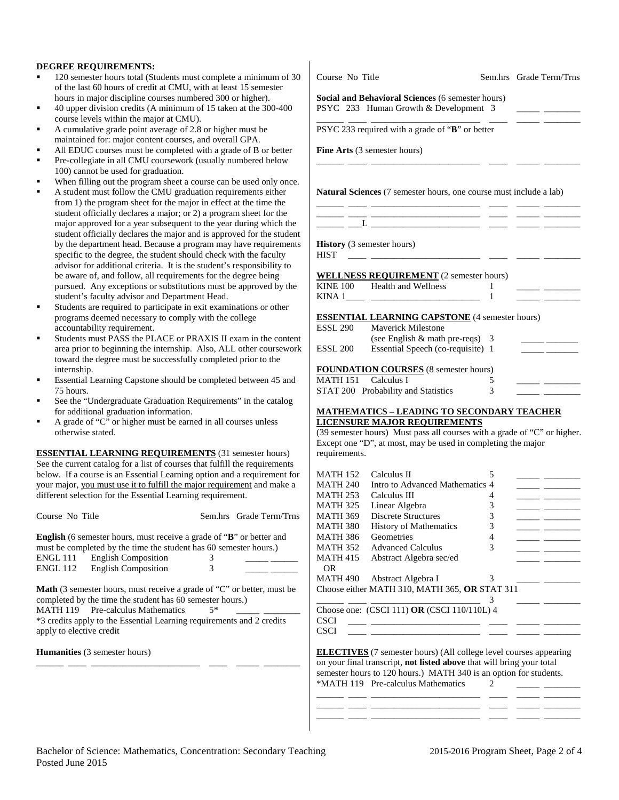#### **DEGREE REQUIREMENTS:**

- 120 semester hours total (Students must complete a minimum of 30 of the last 60 hours of credit at CMU, with at least 15 semester hours in major discipline courses numbered 300 or higher).
- 40 upper division credits (A minimum of 15 taken at the 300-400 course levels within the major at CMU).
- A cumulative grade point average of 2.8 or higher must be maintained for: major content courses, and overall GPA.
- All EDUC courses must be completed with a grade of B or better
- Pre-collegiate in all CMU coursework (usually numbered below 100) cannot be used for graduation.
- When filling out the program sheet a course can be used only once.
- A student must follow the CMU graduation requirements either from 1) the program sheet for the major in effect at the time the student officially declares a major; or 2) a program sheet for the major approved for a year subsequent to the year during which the student officially declares the major and is approved for the student by the department head. Because a program may have requirements specific to the degree, the student should check with the faculty advisor for additional criteria. It is the student's responsibility to be aware of, and follow, all requirements for the degree being pursued. Any exceptions or substitutions must be approved by the student's faculty advisor and Department Head.
- Students are required to participate in exit examinations or other programs deemed necessary to comply with the college accountability requirement.
- Students must PASS the PLACE or PRAXIS II exam in the content area prior to beginning the internship. Also, ALL other coursework toward the degree must be successfully completed prior to the internship.
- Essential Learning Capstone should be completed between 45 and 75 hours.
- See the "Undergraduate Graduation Requirements" in the catalog for additional graduation information.
- A grade of "C" or higher must be earned in all courses unless otherwise stated.

**ESSENTIAL LEARNING REQUIREMENTS** (31 semester hours) See the current catalog for a list of courses that fulfill the requirements below. If a course is an Essential Learning option and a requirement for your major, you must use it to fulfill the major requirement and make a different selection for the Essential Learning requirement.

Course No Title Sem.hrs Grade Term/Trns

|          | <b>English</b> (6 semester hours, must receive a grade of " <b>B</b> " or better and |   |  |
|----------|--------------------------------------------------------------------------------------|---|--|
|          | must be completed by the time the student has 60 semester hours.)                    |   |  |
| ENGL 111 | <b>English Composition</b>                                                           | 3 |  |
| ENGL 112 | <b>English Composition</b>                                                           | 3 |  |

**Math** (3 semester hours, must receive a grade of "C" or better, must be completed by the time the student has 60 semester hours.) MATH 119 Pre-calculus Mathematics  $5^*$ 

\*3 credits apply to the Essential Learning requirements and 2 credits apply to elective credit

**Humanities** (3 semester hours) \_\_\_\_\_\_ \_\_\_\_ \_\_\_\_\_\_\_\_\_\_\_\_\_\_\_\_\_\_\_\_\_\_\_\_ \_\_\_\_ \_\_\_\_\_ \_\_\_\_\_\_\_\_

## Course No Title Sem.hrs Grade Term/Trns

#### **Social and Behavioral Sciences** (6 semester hours) PSYC 233 Human Growth & Development 3

PSYC 233 required with a grade of "**B**" or better

**Fine Arts** (3 semester hours)

**Natural Sciences** (7 semester hours, one course must include a lab)

\_\_\_\_\_\_ \_\_\_\_ \_\_\_\_\_\_\_\_\_\_\_\_\_\_\_\_\_\_\_\_\_\_\_\_ \_\_\_\_ \_\_\_\_\_ \_\_\_\_\_\_\_\_

\_\_\_\_\_\_ \_\_\_\_ \_\_\_\_\_\_\_\_\_\_\_\_\_\_\_\_\_\_\_\_\_\_\_\_ \_\_\_\_ \_\_\_\_\_ \_\_\_\_\_\_\_\_

\_\_\_\_\_\_ \_\_\_\_ \_\_\_\_\_\_\_\_\_\_\_\_\_\_\_\_\_\_\_\_\_\_\_\_ \_\_\_\_ \_\_\_\_\_ \_\_\_\_\_\_\_\_ \_\_\_\_\_\_ \_\_\_\_ \_\_\_\_\_\_\_\_\_\_\_\_\_\_\_\_\_\_\_\_\_\_\_\_ \_\_\_\_ \_\_\_\_\_ \_\_\_\_\_\_\_\_

**History** (3 semester hours)

 $\_$   $\_$   $\_$   $\_$ 

 $HIST \quad \_\_\_\_\_\_$ 

| <b>WELLNESS REQUIREMENT</b> (2 semester hours) |  |  |
|------------------------------------------------|--|--|
|                                                |  |  |

| <b>KINE 100</b> | Health and Wellness |  |  |
|-----------------|---------------------|--|--|
| <b>KINA</b>     |                     |  |  |

## **ESSENTIAL LEARNING CAPSTONE** (4 semester hours)

| <b>ESSL 290</b> | Mayerick Milestone                           |   |  |
|-----------------|----------------------------------------------|---|--|
|                 | (see English $&$ math pre-reqs) 3            |   |  |
| <b>ESSL 200</b> | Essential Speech (co-requisite) 1            |   |  |
|                 |                                              |   |  |
|                 | <b>FOUNDATION COURSES</b> (8 semester hours) |   |  |
| <b>MATH 151</b> | – Calculus I                                 |   |  |
|                 | STAT 200 Probability and Statistics          | 3 |  |
|                 |                                              |   |  |

#### **MATHEMATICS – LEADING TO SECONDARY TEACHER LICENSURE MAJOR REQUIREMENTS**

(39 semester hours) Must pass all courses with a grade of "C" or higher. Except one "D", at most, may be used in completing the major requirements.

\_\_\_\_\_\_ \_\_\_\_ \_\_\_\_\_\_\_\_\_\_\_\_\_\_\_\_\_\_\_\_\_\_\_\_ 3 \_\_\_\_\_ \_\_\_\_\_\_\_\_ Choose one: (CSCI 111) **OR** (CSCI 110/110L) 4 CSCI \_\_\_\_ \_\_\_\_\_\_\_\_\_\_\_\_\_\_\_\_\_\_\_\_\_\_\_\_ \_\_\_\_ \_\_\_\_\_ \_\_\_\_\_\_\_\_  $\text{CSCI}$   $\_\_\_\_\_\_\_\_\_\_\_\_\_$ 

**ELECTIVES** (7 semester hours) (All college level courses appearing on your final transcript, **not listed above** that will bring your total semester hours to 120 hours.) MATH 340 is an option for students. \*MATH 119 Pre-calculus Mathematics  $\overline{2}$ 

\_\_\_\_\_\_ \_\_\_\_ \_\_\_\_\_\_\_\_\_\_\_\_\_\_\_\_\_\_\_\_\_\_\_\_ \_\_\_\_ \_\_\_\_\_ \_\_\_\_\_\_\_\_ \_\_\_\_\_\_ \_\_\_\_ \_\_\_\_\_\_\_\_\_\_\_\_\_\_\_\_\_\_\_\_\_\_\_\_ \_\_\_\_ \_\_\_\_\_ \_\_\_\_\_\_\_\_ \_\_\_\_\_\_ \_\_\_\_ \_\_\_\_\_\_\_\_\_\_\_\_\_\_\_\_\_\_\_\_\_\_\_\_ \_\_\_\_ \_\_\_\_\_ \_\_\_\_\_\_\_\_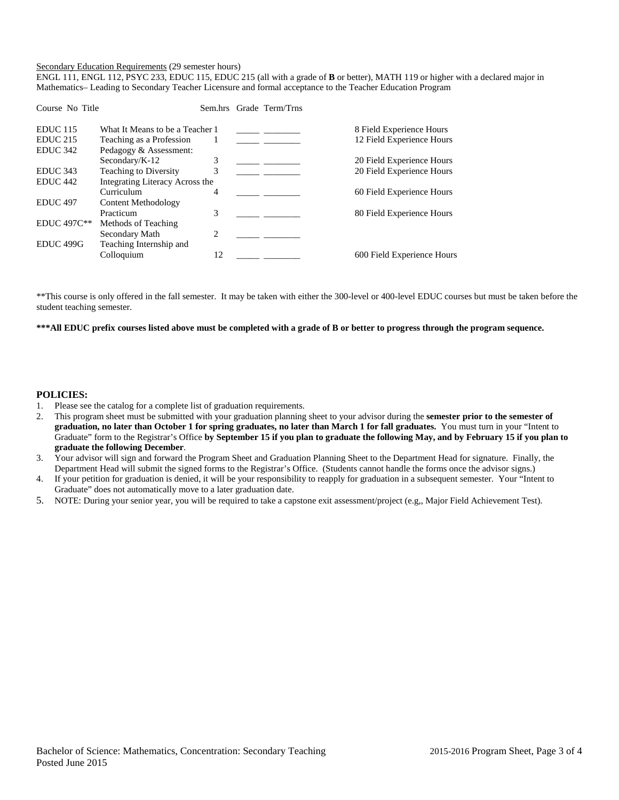#### Secondary Education Requirements (29 semester hours)

ENGL 111, ENGL 112, PSYC 233, EDUC 115, EDUC 215 (all with a grade of **B** or better), MATH 119 or higher with a declared major in Mathematics– Leading to Secondary Teacher Licensure and formal acceptance to the Teacher Education Program

| Course No Title      |                                 |    | Sem.hrs Grade Term/Trns |                            |
|----------------------|---------------------------------|----|-------------------------|----------------------------|
| <b>EDUC</b> 115      | What It Means to be a Teacher 1 |    |                         | 8 Field Experience Hours   |
| <b>EDUC 215</b>      | Teaching as a Profession        | 1  |                         | 12 Field Experience Hours  |
| <b>EDUC 342</b>      | Pedagogy & Assessment:          |    |                         |                            |
|                      | Secondary/K-12                  | 3  |                         | 20 Field Experience Hours  |
| <b>EDUC 343</b>      | Teaching to Diversity           | 3  |                         | 20 Field Experience Hours  |
| EDUC <sub>442</sub>  | Integrating Literacy Across the |    |                         |                            |
|                      | Curriculum                      | 4  |                         | 60 Field Experience Hours  |
| <b>EDUC 497</b>      | Content Methodology             |    |                         |                            |
|                      | Practicum                       | 3  |                         | 80 Field Experience Hours  |
| EDUC 497C**          | Methods of Teaching             |    |                         |                            |
|                      | Secondary Math                  | 2  |                         |                            |
| EDUC <sub>499G</sub> | Teaching Internship and         |    |                         |                            |
|                      | Colloquium                      | 12 |                         | 600 Field Experience Hours |
|                      |                                 |    |                         |                            |

\*\*This course is only offered in the fall semester. It may be taken with either the 300-level or 400-level EDUC courses but must be taken before the student teaching semester.

**\*\*\*All EDUC prefix courses listed above must be completed with a grade of B or better to progress through the program sequence.** 

#### **POLICIES:**

- 1. Please see the catalog for a complete list of graduation requirements.
- 2. This program sheet must be submitted with your graduation planning sheet to your advisor during the **semester prior to the semester of graduation, no later than October 1 for spring graduates, no later than March 1 for fall graduates.** You must turn in your "Intent to Graduate" form to the Registrar's Office **by September 15 if you plan to graduate the following May, and by February 15 if you plan to graduate the following December**.
- 3. Your advisor will sign and forward the Program Sheet and Graduation Planning Sheet to the Department Head for signature. Finally, the Department Head will submit the signed forms to the Registrar's Office. (Students cannot handle the forms once the advisor signs.)
- 4. If your petition for graduation is denied, it will be your responsibility to reapply for graduation in a subsequent semester. Your "Intent to Graduate" does not automatically move to a later graduation date.
- 5. NOTE: During your senior year, you will be required to take a capstone exit assessment/project (e.g,, Major Field Achievement Test).